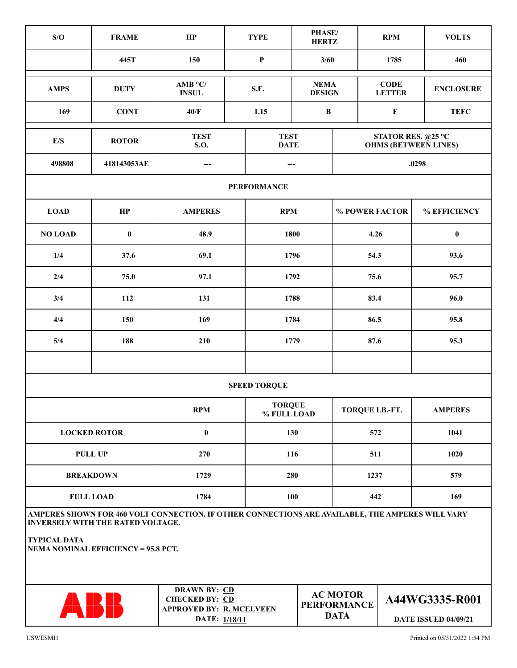| S/O                                                                                                                                          | <b>FRAME</b> | HP                                                                                               | <b>TYPE</b>                  | PHASE/<br><b>HERTZ</b> |                                                      | <b>RPM</b>     | <b>VOLTS</b>                                  |  |
|----------------------------------------------------------------------------------------------------------------------------------------------|--------------|--------------------------------------------------------------------------------------------------|------------------------------|------------------------|------------------------------------------------------|----------------|-----------------------------------------------|--|
|                                                                                                                                              | 445T         | 150                                                                                              | ${\bf P}$                    | 3/60                   |                                                      | 1785           | 460                                           |  |
| <b>AMPS</b>                                                                                                                                  | <b>DUTY</b>  | $AMB$ °C/<br><b>INSUL</b>                                                                        | S.F.                         |                        | <b>NEMA</b><br><b>DESIGN</b><br><b>LETTER</b>        |                | <b>ENCLOSURE</b>                              |  |
| 169                                                                                                                                          | <b>CONT</b>  | 40/F                                                                                             | 1.15                         | $\bf{B}$               |                                                      | $\mathbf F$    | <b>TEFC</b>                                   |  |
| $\mathbf{E}/\mathbf{S}$                                                                                                                      | <b>ROTOR</b> | <b>TEST</b><br>S.O.                                                                              | <b>TEST</b><br><b>DATE</b>   |                        | STATOR RES. @25 °C<br><b>OHMS (BETWEEN LINES)</b>    |                |                                               |  |
| 498808                                                                                                                                       | 418143053AE  | ---<br>---                                                                                       |                              |                        |                                                      |                | .0298                                         |  |
| <b>PERFORMANCE</b>                                                                                                                           |              |                                                                                                  |                              |                        |                                                      |                |                                               |  |
| <b>LOAD</b>                                                                                                                                  | HP           | <b>AMPERES</b>                                                                                   |                              | <b>RPM</b>             |                                                      | % POWER FACTOR | % EFFICIENCY                                  |  |
| <b>NO LOAD</b>                                                                                                                               | $\pmb{0}$    | 48.9<br>1800                                                                                     |                              |                        | 4.26                                                 |                | $\pmb{0}$                                     |  |
| 1/4                                                                                                                                          | 37.6         | 69.1                                                                                             |                              | 1796                   |                                                      | 54.3           | 93.6                                          |  |
| 2/4                                                                                                                                          | 75.0         | 97.1                                                                                             |                              | 1792                   |                                                      | 75.6           | 95.7                                          |  |
| 3/4                                                                                                                                          | 112          | 131                                                                                              |                              | 1788                   |                                                      | 83.4           | 96.0                                          |  |
| 4/4                                                                                                                                          | 150          | 169                                                                                              |                              | 1784                   |                                                      | 86.5           | 95.8                                          |  |
| 5/4                                                                                                                                          | 188          | 210                                                                                              | 1779                         |                        | 87.6                                                 |                | 95.3                                          |  |
|                                                                                                                                              |              |                                                                                                  |                              |                        |                                                      |                |                                               |  |
| <b>SPEED TORQUE</b>                                                                                                                          |              |                                                                                                  |                              |                        |                                                      |                |                                               |  |
|                                                                                                                                              |              | <b>RPM</b>                                                                                       | <b>TORQUE</b><br>% FULL LOAD |                        | TORQUE LB.-FT.                                       |                | <b>AMPERES</b>                                |  |
| <b>LOCKED ROTOR</b>                                                                                                                          |              | $\bf{0}$                                                                                         |                              | 130                    |                                                      | 572            | 1041                                          |  |
| <b>PULL UP</b>                                                                                                                               |              | 270                                                                                              |                              | 116                    |                                                      | 511            | 1020                                          |  |
| <b>BREAKDOWN</b>                                                                                                                             |              | 1729                                                                                             |                              | 280                    |                                                      | 1237           | 579                                           |  |
| <b>FULL LOAD</b>                                                                                                                             |              | 1784                                                                                             |                              | 100                    |                                                      | 442            | 169                                           |  |
| AMPERES SHOWN FOR 460 VOLT CONNECTION. IF OTHER CONNECTIONS ARE AVAILABLE, THE AMPERES WILL VARY<br><b>INVERSELY WITH THE RATED VOLTAGE.</b> |              |                                                                                                  |                              |                        |                                                      |                |                                               |  |
| <b>TYPICAL DATA</b><br><b>NEMA NOMINAL EFFICIENCY = 95.8 PCT.</b>                                                                            |              |                                                                                                  |                              |                        |                                                      |                |                                               |  |
|                                                                                                                                              |              | <b>DRAWN BY: CD</b><br><b>CHECKED BY: CD</b><br><b>APPROVED BY: R. MCELVEEN</b><br>DATE: 1/18/11 |                              |                        | <b>AC MOTOR</b><br><b>PERFORMANCE</b><br><b>DATA</b> |                | A44WG3335-R001<br><b>DATE ISSUED 04/09/21</b> |  |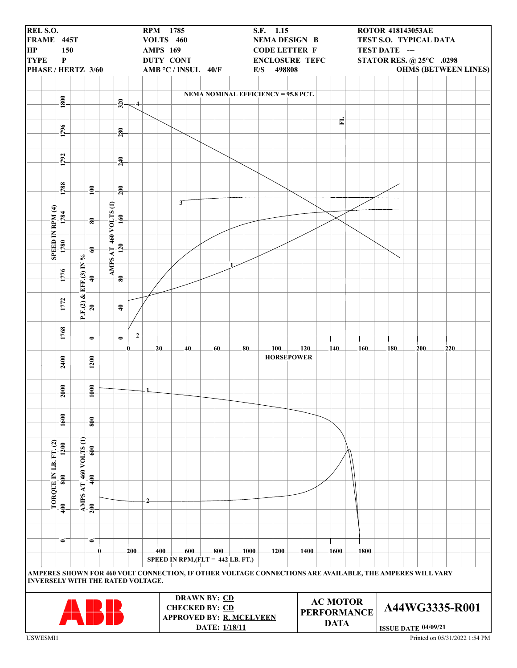